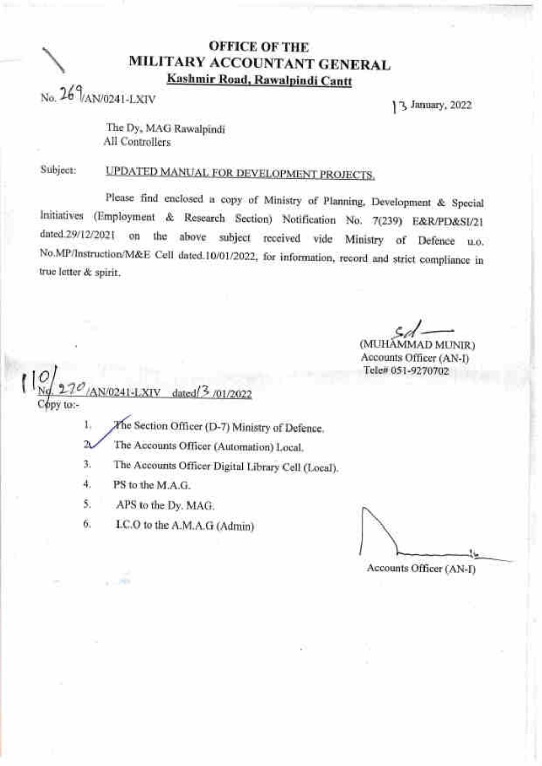## **OFFICE OF THE** MILITARY ACCOUNTANT GENERAL Kashmir Road, Rawalpindi Cantt

 $N_0$  26 $\frac{9}{(AN/0241-LXIV)}$ 

3 January, 2022

The Dy, MAG Rawalpindi All Controllers

Subject:

# **UPDATED MANUAL FOR DEVELOPMENT PROJECTS.**

Please find enclosed a copy of Ministry of Planning, Development & Special Initiatives (Employment & Research Section) Notification No. 7(239) E&R/PD&SI/21 dated.29/12/2021 on the above subject received vide Ministry of Defence u.o. No.MP/Instruction/M&E Cell dated.10/01/2022, for information, record and strict compliance in true letter & spirit.

(MUHAMMAD MUNIR)

Accounts Officer (AN-I) Tele# 051-9270702

dated <a>[</a></a>701/2022 bpy to:-

The Section Officer (D-7) Ministry of Defence. 1.

 $\mathbf{2}$ The Accounts Officer (Automation) Local.

The Accounts Officer Digital Library Cell (Local). 3.

4. PS to the M.A.G.

5. APS to the Dy, MAG.

I.C.O to the A.M.A.G (Admin) 6.

Accounts Officer (AN-I)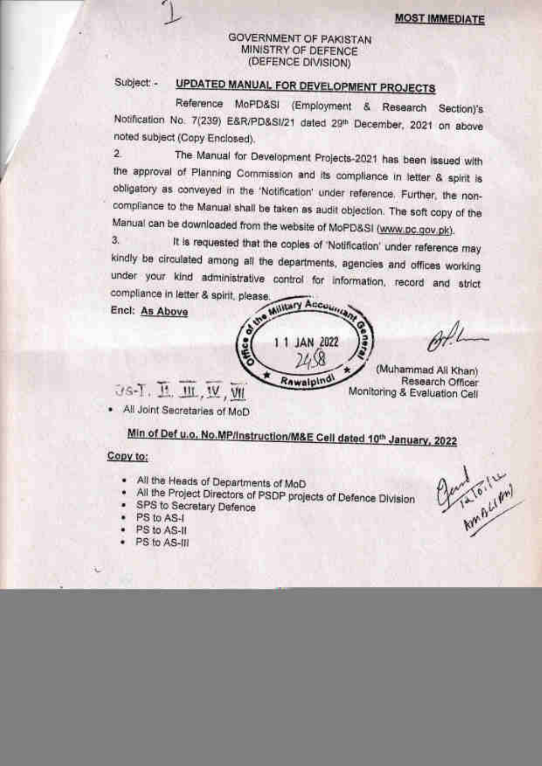## GOVERNMENT OF PAKISTAN MINISTRY OF DEFENCE (DEFENCE DIVISION)

### UPDATED MANUAL FOR DEVELOPMENT PROJECTS Subject: -

Reference MoPD&SI (Employment & Research Section)'s Notification No. 7(239) E&R/PD&SI/21 dated 29th December, 2021 on above noted subject (Copy Enclosed).

 $\overline{2}$ The Manual for Development Projects-2021 has been issued with the approval of Planning Commission and its compliance in letter & spirit is obligatory as conveyed in the 'Notification' under reference. Further, the noncompliance to the Manual shall be taken as audit objection. The soft copy of the Manual can be downloaded from the website of MoPD&SI (www.pc.gov.pk).

It is requested that the copies of 'Notification' under reference may 3. kindly be circulated among all the departments, agencies and offices working under your kind administrative control for information, record and strict compliance in letter & spirit, please

Encl: As Above

Military Accounts o une 1 JAN 2022 Rawaipind Js-T. H. M. W. VII

Elenator(14)

(Muhammad All Khan) Research Officer Monitoring & Evaluation Cell

. All Joint Secretaries of MoD

Min of Def u.o. No.MP/Instruction/M&E Cell dated 10th January, 2022

### Copy to:

- All the Heads of Departments of MoD
- All the Project Directors of PSDP projects of Defence Division
- · SPS to Secretary Defence
- PS to AS-I ٠
- PS to AS-II
- · PS to AS-III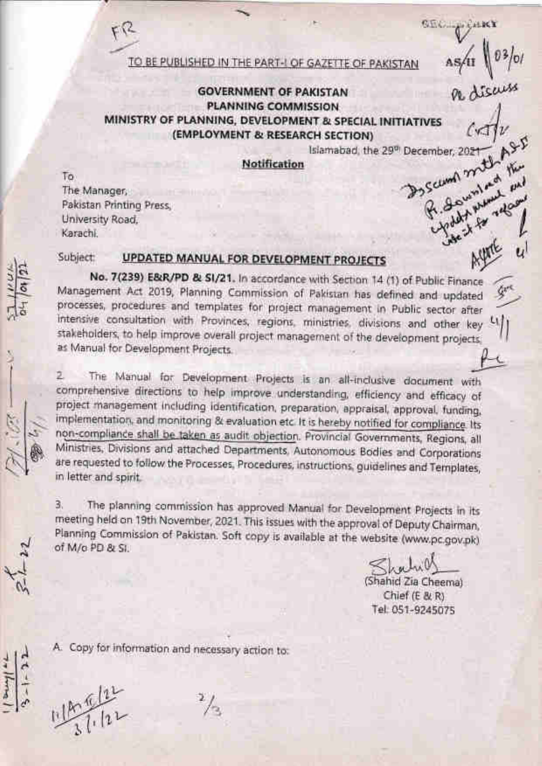TO BE PUBLISHED IN THE PART-I OF GAZETTE OF PAKISTAN

## **GOVERNMENT OF PAKISTAN PLANNING COMMISSION** MINISTRY OF PLANNING, DEVELOPMENT & SPECIAL INITIATIVES (EMPLOYMENT & RESEARCH SECTION)

By School mith the Islamabad, the 29<sup>th</sup> December, 2021

**SEC.** 

Notification

To The Manager, Pakistan Printing Press. University Road. Karachi.

#### Subject: UPDATED MANUAL FOR DEVELOPMENT PROJECTS

No. 7(239) E&R/PD & SI/21. In accordance with Section 14 (1) of Public Finance Management Act 2019, Planning Commission of Pakistan has defined and updated processes, procedures and templates for project management in Public sector after intensive consultation with Provinces, regions, ministries, divisions and other key 4) stakeholders, to help improve overall project management of the development projects. as Manual for Development Projects

The Manual for Development Projects is an all-inclusive document with 2. comprehensive directions to help improve understanding, efficiency and efficacy of project management including identification, preparation, appraisal, approval, funding, implementation, and monitoring & evaluation etc. It is hereby notified for compliance. Its non-compliance shall be taken as audit objection. Provincial Governments, Regions, all Ministries, Divisions and attached Departments, Autonomous Bodies and Corporations are requested to follow the Processes, Procedures, instructions, guidelines and Templates, in letter and spirit.

The planning commission has approved Manual for Development Projects in its З. meeting held on 19th November, 2021. This issues with the approval of Deputy Chairman, Planning Commission of Pakistan. Soft copy is available at the website (www.pc.gov.pk) of M/o PD & SI.

(Shahid Zia Cheema) Chief (E & R) Tel: 051-9245075

A. Copy for information and necessary action to: